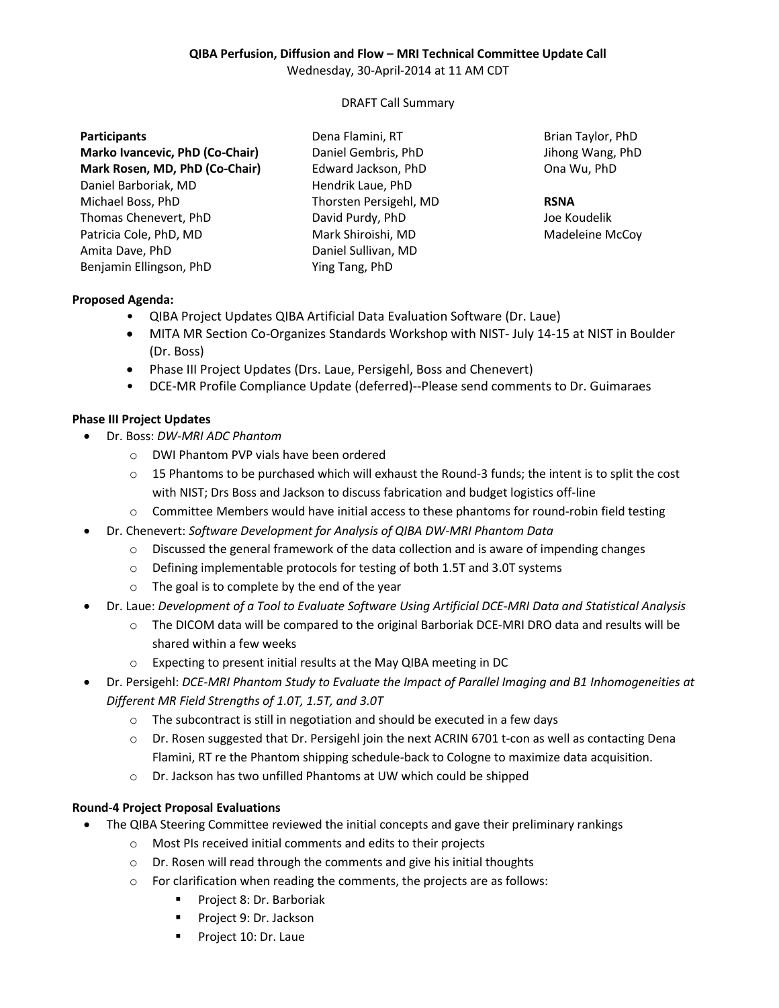# **QIBA Perfusion, Diffusion and Flow – MRI Technical Committee Update Call**

Wednesday, 30-April-2014 at 11 AM CDT

## DRAFT Call Summary

#### **Participants**

**Marko Ivancevic, PhD (Co-Chair) Mark Rosen, MD, PhD (Co-Chair)** Daniel Barboriak, MD Michael Boss, PhD Thomas Chenevert, PhD Patricia Cole, PhD, MD Amita Dave, PhD Benjamin Ellingson, PhD

Dena Flamini, RT Daniel Gembris, PhD Edward Jackson, PhD Hendrik Laue, PhD Thorsten Persigehl, MD David Purdy, PhD Mark Shiroishi, MD Daniel Sullivan, MD Ying Tang, PhD

Brian Taylor, PhD Jihong Wang, PhD Ona Wu, PhD

#### **RSNA**

Joe Koudelik Madeleine McCoy

## **Proposed Agenda:**

- QIBA Project Updates QIBA Artificial Data Evaluation Software (Dr. Laue)
- MITA MR Section Co-Organizes Standards Workshop with NIST- July 14-15 at NIST in Boulder (Dr. Boss)
- Phase III Project Updates (Drs. Laue, Persigehl, Boss and Chenevert)
- DCE-MR Profile Compliance Update (deferred)--Please send comments to Dr. Guimaraes

## **Phase III Project Updates**

- Dr. Boss: *DW-MRI ADC Phantom*
	- o DWI Phantom PVP vials have been ordered
	- $\circ$  15 Phantoms to be purchased which will exhaust the Round-3 funds; the intent is to split the cost with NIST; Drs Boss and Jackson to discuss fabrication and budget logistics off-line
	- o Committee Members would have initial access to these phantoms for round-robin field testing
- Dr. Chenevert: *Software Development for Analysis of QIBA DW-MRI Phantom Data*
	- $\circ$  Discussed the general framework of the data collection and is aware of impending changes
	- o Defining implementable protocols for testing of both 1.5T and 3.0T systems
	- o The goal is to complete by the end of the year
- Dr. Laue: *Development of a Tool to Evaluate Software Using Artificial DCE-MRI Data and Statistical Analysis*
	- $\circ$  The DICOM data will be compared to the original Barboriak DCE-MRI DRO data and results will be shared within a few weeks
	- o Expecting to present initial results at the May QIBA meeting in DC
- Dr. Persigehl: *DCE-MRI Phantom Study to Evaluate the Impact of Parallel Imaging and B1 Inhomogeneities at Different MR Field Strengths of 1.0T, 1.5T, and 3.0T*
	- o The subcontract is still in negotiation and should be executed in a few days
	- $\circ$  Dr. Rosen suggested that Dr. Persigehl join the next ACRIN 6701 t-con as well as contacting Dena Flamini, RT re the Phantom shipping schedule-back to Cologne to maximize data acquisition.
	- o Dr. Jackson has two unfilled Phantoms at UW which could be shipped

## **Round-4 Project Proposal Evaluations**

- The QIBA Steering Committee reviewed the initial concepts and gave their preliminary rankings
	- o Most PIs received initial comments and edits to their projects
	- o Dr. Rosen will read through the comments and give his initial thoughts
	- o For clarification when reading the comments, the projects are as follows:
		- **Project 8: Dr. Barboriak**
		- **Project 9: Dr. Jackson**
		- Project 10: Dr. Laue